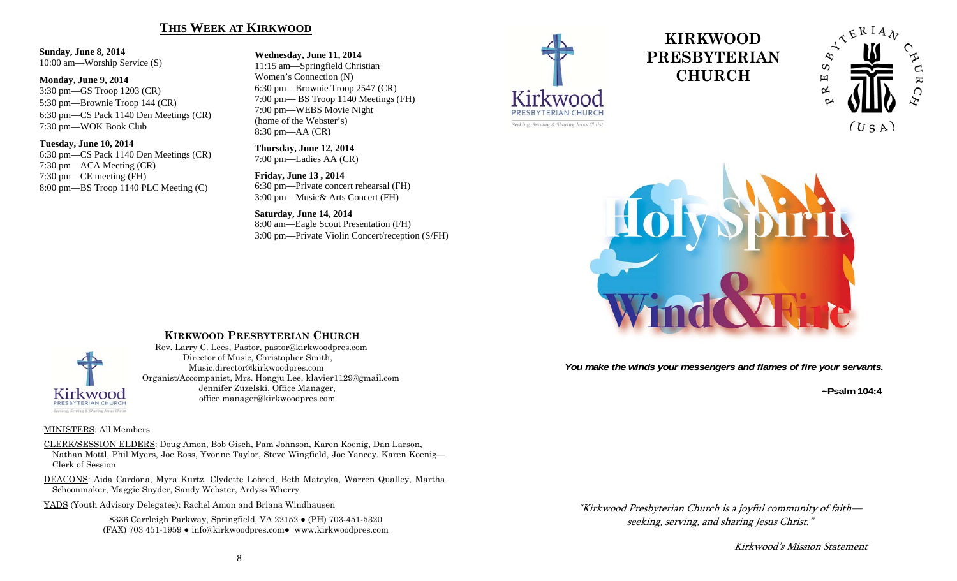### **THIS WEEK AT KIRKWOOD**

#### **Sunday, June 8, 2014**  10:00 am—Worship Service (S)

#### **Monday, June 9, 2014**

3:30 pm—GS Troop 1203 (CR) 5:30 pm—Brownie Troop 144 (CR) 6:30 pm—CS Pack 1140 Den Meetings (CR) 7:30 pm—WOK Book Club

#### **Tuesday, June 10, 2014**

6:30 pm—CS Pack 1140 Den Meetings (CR) 7:30 pm—ACA Meeting (CR) 7:30 pm—CE meeting (FH) 8:00 pm—BS Troop 1140 PLC Meeting (C)

**Wednesday, June 11, 2014**  11:15 am—Springfield Christian Women's Connection (N) 6:30 pm—Brownie Troop 2547 (CR) 7:00 pm— BS Troop 1140 Meetings (FH) 7:00 pm—WEBS Movie Night (home of the Webster's) 8:30 pm—AA (CR)

**Thursday, June 12, 2014**  7:00 pm—Ladies AA (CR)

**Friday, June 13 , 2014**  6:30 pm—Private concert rehearsal (FH) 3:00 pm—Music& Arts Concert (FH)

**Saturday, June 14, 2014**  8:00 am—Eagle Scout Presentation (FH) 3:00 pm—Private Violin Concert/reception (S/FH)



# **KIRKWOOD PRESBYTERIAN CHURCH**





*You make the winds your messengers and flames of fire your servants.*

 **~Psalm 104:4**



### **KIRKWOOD PRESBYTERIAN CHURCH**

 Rev. Larry C. Lees, Pastor, pastor@kirkwoodpres.com Director of Music, Christopher Smith, Music.director@kirkwoodpres.com Organist/Accompanist, Mrs. Hongju Lee, klavier1129@gmail.com Jennifer Zuzelski, Office Manager, office.manager@kirkwoodpres.com

#### MINISTERS: All Members

CLERK/SESSION ELDERS: Doug Amon, Bob Gisch, Pam Johnson, Karen Koenig, Dan Larson, Nathan Mottl, Phil Myers, Joe Ross, Yvonne Taylor, Steve Wingfield, Joe Yancey. Karen Koenig— Clerk of Session

DEACONS: Aida Cardona, Myra Kurtz, Clydette Lobred, Beth Mateyka, Warren Qualley, Martha Schoonmaker, Maggie Snyder, Sandy Webster, Ardyss Wherry

YADS (Youth Advisory Delegates): Rachel Amon and Briana Windhausen

8336 Carrleigh Parkway, Springfield, VA 22152 ● (PH) 703-451-5320 (FAX) 703 451-1959 ● info@kirkwoodpres.com● www.kirkwoodpres.com "Kirkwood Presbyterian Church is a joyful community of faith seeking, serving, and sharing Jesus Christ."

Kirkwood's Mission Statement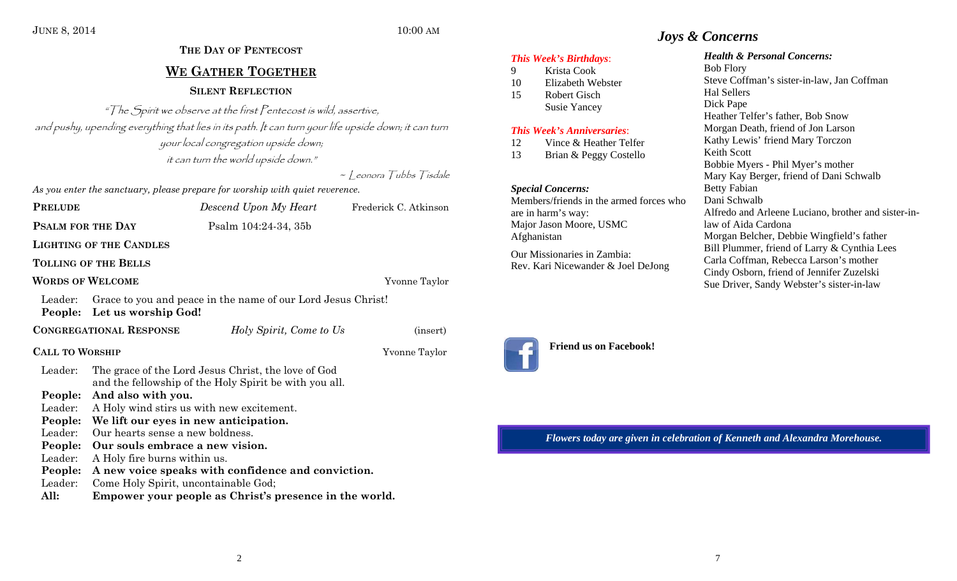## **THE DAY OF PENTECOST WE GATHER TOGETHER**

### **SILENT REFLECTION**

"The Spirit we observe at the first Pentecost is wild, assertive, and pushy, upending everything that lies in its path. It can turn your life upside down; it can turn your local congregation upside down; it can turn the world upside down."

~ Leonora Tubbs Tisdale

*As you enter the sanctuary, please prepare for worship with quiet reverence.* 

| <b>PRELUDE</b> | Descend Upon My Heart | Frederick C. Atkinson |
|----------------|-----------------------|-----------------------|
|                |                       |                       |

**PSALM** FOR THE DAY

Psalm 104:24-34, 35b

**LIGHTING OF THE CANDLES**

#### **TOLLING OF THE BELLS**

**WORDS OF WELCOME**

Yvonne Taylor

Leader: Grace to you and peace in the name of our Lord Jesus Christ! **People: Let us worship God!** 

|                        | <b>CONGREGATIONAL RESPONSE</b>            | Holy Spirit, Come to Us                                                                                       | (insert)      |
|------------------------|-------------------------------------------|---------------------------------------------------------------------------------------------------------------|---------------|
| <b>CALL TO WORSHIP</b> |                                           |                                                                                                               | Yvonne Taylor |
| Leader:                |                                           | The grace of the Lord Jesus Christ, the love of God<br>and the fellowship of the Holy Spirit be with you all. |               |
| People:                | And also with you.                        |                                                                                                               |               |
| Leader:                | A Holy wind stirs us with new excitement. |                                                                                                               |               |
| People:                | We lift our eyes in new anticipation.     |                                                                                                               |               |
| Leader:                | Our hearts sense a new boldness.          |                                                                                                               |               |
| People:                | Our souls embrace a new vision.           |                                                                                                               |               |
| Leader:                | A Holy fire burns within us.              |                                                                                                               |               |
| People:                |                                           | A new voice speaks with confidence and conviction.                                                            |               |
| Leader:                | Come Holy Spirit, uncontainable God;      |                                                                                                               |               |
| All:                   |                                           | Empower your people as Christ's presence in the world.                                                        |               |

## *Joys & Concerns*

#### *This Week's Birthdays*:

9 Krista Cook 10 Elizabeth Webster 15 Robert Gisch

### *This Week's Anniversaries*:

Susie Yancey

12 Vince & Heather Telfer 13 Brian & Peggy Costello

#### *Special Concerns:*

Members/friends in the armed forces who are in harm's way: Major Jason Moore, USMC Afghanistan

Our Missionaries in Zambia: Rev. Kari Nicewander & Joel DeJong

### *Health & Personal Concerns:*

Bob Flory Steve Coffman's sister-in-law, Jan Coffman Hal Sellers Dick Pape Heather Telfer's father, Bob Snow Morgan Death, friend of Jon Larson Kathy Lewis' friend Mary Torczon Keith Scott Bobbie Myers - Phil Myer's mother Mary Kay Berger, friend of Dani Schwalb Betty Fabian Dani Schwalb Alfredo and Arleene Luciano, brother and sister-inlaw of Aida Cardona Morgan Belcher, Debbie Wingfield's father Bill Plummer, friend of Larry & Cynthia Lees Carla Coffman, Rebecca Larson's mother Cindy Osborn, friend of Jennifer Zuzelski Sue Driver, Sandy Webster's sister-in-law



### **Friend us on Facebook!**

*Flowers today are given in celebration of Kenneth and Alexandra Morehouse.*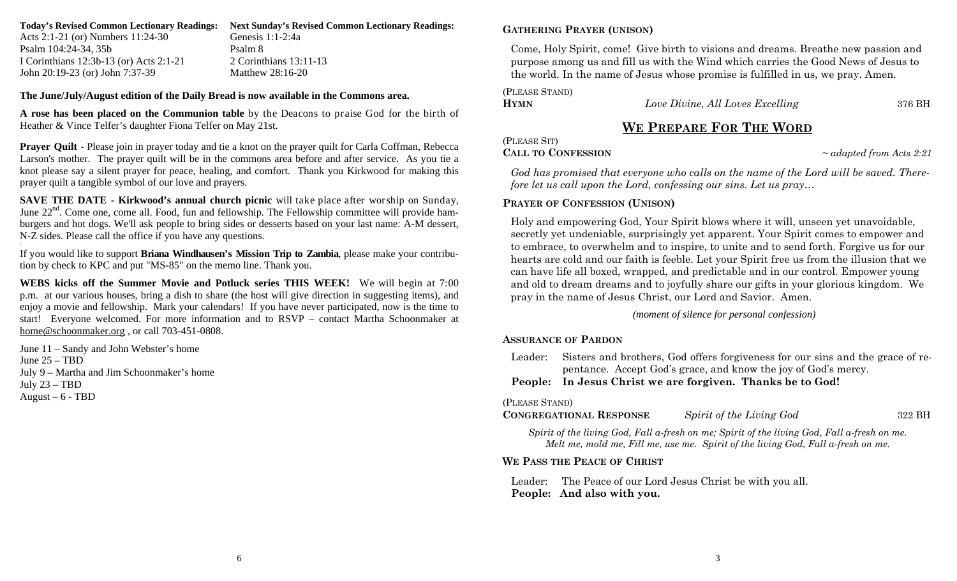| <b>Today's Revised Common Lectionary Readings:</b> | <b>Next Sunday's Revised Common Lectionary Readings:</b> |
|----------------------------------------------------|----------------------------------------------------------|
| Acts 2:1-21 (or) Numbers 11:24-30                  | Genesis $1:1-2:4a$                                       |
| Psalm 104:24-34, 35b                               | Psalm 8                                                  |
| I Corinthians 12:3b-13 (or) Acts 2:1-21            | 2 Corinthians $13:11-13$                                 |
| John 20:19-23 (or) John 7:37-39                    | Matthew 28:16-20                                         |
|                                                    |                                                          |

### **The June/July/August edition of the Daily Bread is now available in the Commons area.**

**A rose has been placed on the Communion table** by the Deacons to praise God for the birth of Heather & Vince Telfer's daughter Fiona Telfer on May 21st.

**Prayer Quilt** - Please join in prayer today and tie a knot on the prayer quilt for Carla Coffman, Rebecca Larson's mother. The prayer quilt will be in the commons area before and after service. As you tie a knot please say a silent prayer for peace, healing, and comfort. Thank you Kirkwood for making this prayer quilt a tangible symbol of our love and prayers.

**SAVE THE DATE - Kirkwood's annual church picnic** will take place after worship on Sunday, June 22<sup>nd</sup>. Come one, come all. Food, fun and fellowship. The Fellowship committee will provide hamburgers and hot dogs. We'll ask people to bring sides or desserts based on your last name: A-M dessert, N-Z sides. Please call the office if you have any questions.

If you would like to support **Briana Windhausen's Mission Trip to Zambia**, please make your contribution by check to KPC and put "MS-85" on the memo line. Thank you.

**WEBS kicks off the Summer Movie and Potluck series THIS WEEK!** We will begin at 7:00 p.m. at our various houses, bring a dish to share (the host will give direction in suggesting items), and enjoy a movie and fellowship. Mark your calendars! If you have never participated, now is the time to start! Everyone welcomed. For more information and to RSVP – contact Martha Schoonmaker at home@schoonmaker.org , or call 703-451-0808.

June 11 – Sandy and John Webster's home June 25 – TBD July 9 – Martha and Jim Schoonmaker's home July 23 – TBD August –  $6$  - TBD

### **GATHERING PRAYER (UNISON)**

Come, Holy Spirit, come! Give birth to visions and dreams. Breathe new passion and purpose among us and fill us with the Wind which carries the Good News of Jesus to the world. In the name of Jesus whose promise is fulfilled in us, we pray. Amen.

(PLEASE STAND)

**HYMN**

*Love Divine, All Loves Excelling* 376 BH

### **WE PREPARE FOR THE WORD**

#### (PLEASE SIT) **CALL TO CONFESSION**

<sup>~</sup>*adapted from Acts 2:21*

*God has promised that everyone who calls on the name of the Lord will be saved. Therefore let us call upon the Lord, confessing our sins. Let us pray…* 

### **PRAYER OF CONFESSION (UNISON)**

Holy and empowering God, Your Spirit blows where it will, unseen yet unavoidable, secretly yet undeniable, surprisingly yet apparent. Your Spirit comes to empower and to embrace, to overwhelm and to inspire, to unite and to send forth. Forgive us for our hearts are cold and our faith is feeble. Let your Spirit free us from the illusion that we can have life all boxed, wrapped, and predictable and in our control. Empower young and old to dream dreams and to joyfully share our gifts in your glorious kingdom. We pray in the name of Jesus Christ, our Lord and Savior. Amen.

*(moment of silence for personal confession)*

### **ASSURANCE OF PARDON**

Leader: Sisters and brothers, God offers forgiveness for our sins and the grace of repentance. Accept God's grace, and know the joy of God's mercy.

**People: In Jesus Christ we are forgiven. Thanks be to God!** 

### (PLEASE STAND)

**CONGREGATIONAL RESPONSE** *Spirit of the Living God* 322 BH

*Spirit of the living God, Fall a-fresh on me; Spirit of the living God, Fall a-fresh on me. Melt me, mold me, Fill me, use me. Spirit of the living God, Fall a-fresh on me.* 

### **WE PASS THE PEACE OF CHRIST**

Leader: The Peace of our Lord Jesus Christ be with you all. **People: And also with you.**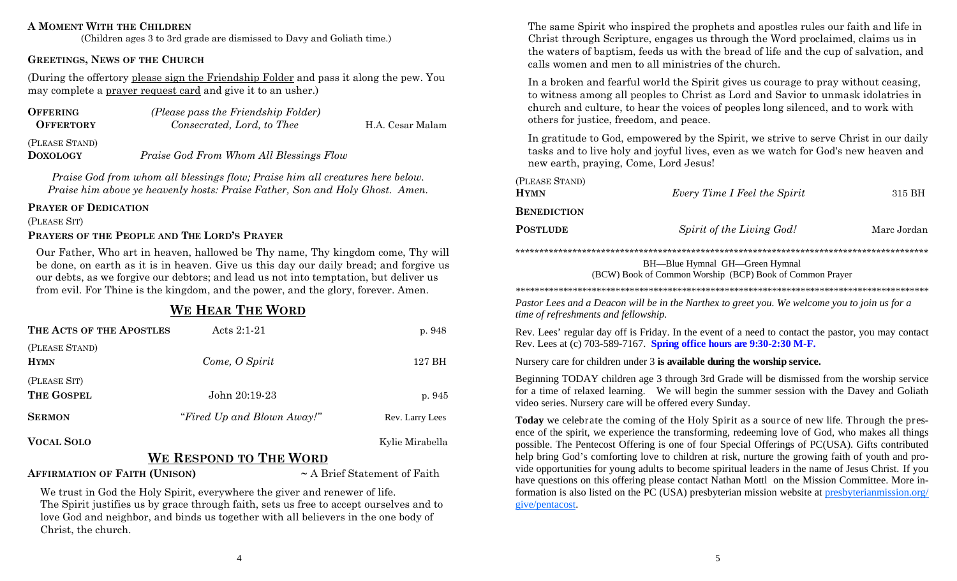#### **A MOMENT WITH THE CHILDREN**

(Children ages 3 to 3rd grade are dismissed to Davy and Goliath time.)

### **GREETINGS, NEWS OF THE CHURCH**

(During the offertory please sign the Friendship Folder and pass it along the pew. You may complete a prayer request card and give it to an usher.)

| <b>OFFERING</b>  | (Please pass the Friendship Folder) |                  |
|------------------|-------------------------------------|------------------|
| <b>OFFERTORY</b> | Consecrated, Lord, to Thee          | H.A. Cesar Malam |
| (PLEASE STAND)   |                                     |                  |

**DOXOLOGY***Praise God From Whom All Blessings Flow* 

*Praise God from whom all blessings flow; Praise him all creatures here below. Praise him above ye heavenly hosts: Praise Father, Son and Holy Ghost. Amen.* 

#### **PRAYER OF DEDICATION**

#### (PLEASE SIT)

#### **PRAYERS OF THE PEOPLE AND THE LORD'S PRAYER**

Our Father, Who art in heaven, hallowed be Thy name, Thy kingdom come, Thy will be done, on earth as it is in heaven. Give us this day our daily bread; and forgive us our debts, as we forgive our debtors; and lead us not into temptation, but deliver us from evil. For Thine is the kingdom, and the power, and the glory, forever. Amen.

### **WE HEAR THE WORD**

| THE ACTS OF THE APOSTLES      | Acts $2:1-21$              | p. 948          |
|-------------------------------|----------------------------|-----------------|
| (PLEASE STAND)<br><b>HYMN</b> | Come, O Spirit             | 127 BH          |
| (PLEASE SIT)<br>THE GOSPEL    | John 20:19-23              | p. 945          |
| <b>SERMON</b>                 | "Fired Up and Blown Away!" | Rev. Larry Lees |
| <b>VOCAL SOLO</b>             |                            | Kylie Mirabella |
|                               | WE RESPOND TO THE WORD     |                 |

#### **AFFIRMATION OF FAITH (UNISON)**

~ A Brief Statement of Faith

We trust in God the Holy Spirit, everywhere the giver and renewer of life. The Spirit justifies us by grace through faith, sets us free to accept ourselves and to love God and neighbor, and binds us together with all believers in the one body of Christ, the church.

The same Spirit who inspired the prophets and apostles rules our faith and life in Christ through Scripture, engages us through the Word proclaimed, claims us in the waters of baptism, feeds us with the bread of life and the cup of salvation, and calls women and men to all ministries of the church.

In a broken and fearful world the Spirit gives us courage to pray without ceasing, to witness among all peoples to Christ as Lord and Savior to unmask idolatries in church and culture, to hear the voices of peoples long silenced, and to work with others for justice, freedom, and peace.

In gratitude to God, empowered by the Spirit, we strive to serve Christ in our daily tasks and to live holy and joyful lives, even as we watch for God's new heaven and new earth, praying, Come, Lord Jesus!

| (PLEASE STAND)<br><b>HYMN</b> | Every Time I Feel the Spirit                             | 315 BH      |
|-------------------------------|----------------------------------------------------------|-------------|
| <b>BENEDICTION</b>            |                                                          |             |
| <b>POSTLUDE</b>               | Spirit of the Living God!                                | Marc Jordan |
|                               |                                                          |             |
|                               | BH—Blue Hymnal GH—Green Hymnal                           |             |
|                               | (BCW) Book of Common Worship (BCP) Book of Common Prayer |             |

*\*\*\*\*\*\*\*\*\*\*\*\*\*\*\*\*\*\*\*\*\*\*\*\*\*\*\*\*\*\*\*\*\*\*\*\*\*\*\*\*\*\*\*\*\*\*\*\*\*\*\*\*\*\*\*\*\*\*\*\*\*\*\*\*\*\*\*\*\*\*\*\*\*\*\*\*\*\*\*\*\*\*\*\*\*\*\** 

*Pastor Lees and a Deacon will be in the Narthex to greet you. We welcome you to join us for a time of refreshments and fellowship.*

Rev. Lees' regular day off is Friday. In the event of a need to contact the pastor, you may contact Rev. Lees at (c) 703-589-7167. **Spring office hours are 9:30-2:30 M-F.**

Nursery care for children under 3 **is available during the worship service.** 

Beginning TODAY children age 3 through 3rd Grade will be dismissed from the worship service for a time of relaxed learning. We will begin the summer session with the Davey and Goliath video series. Nursery care will be offered every Sunday.

**Today** we celebrate the coming of the Holy Spirit as a source of new life. Through the presence of the spirit, we experience the transforming, redeeming love of God, who makes all things possible. The Pentecost Offering is one of four Special Offerings of PC(USA). Gifts contributed help bring God's comforting love to children at risk, nurture the growing faith of youth and provide opportunities for young adults to become spiritual leaders in the name of Jesus Christ. If you have questions on this offering please contact Nathan Mottl on the Mission Committee. More information is also listed on the PC (USA) presbyterian mission website at presbyterianmission.org/ give/pentacost.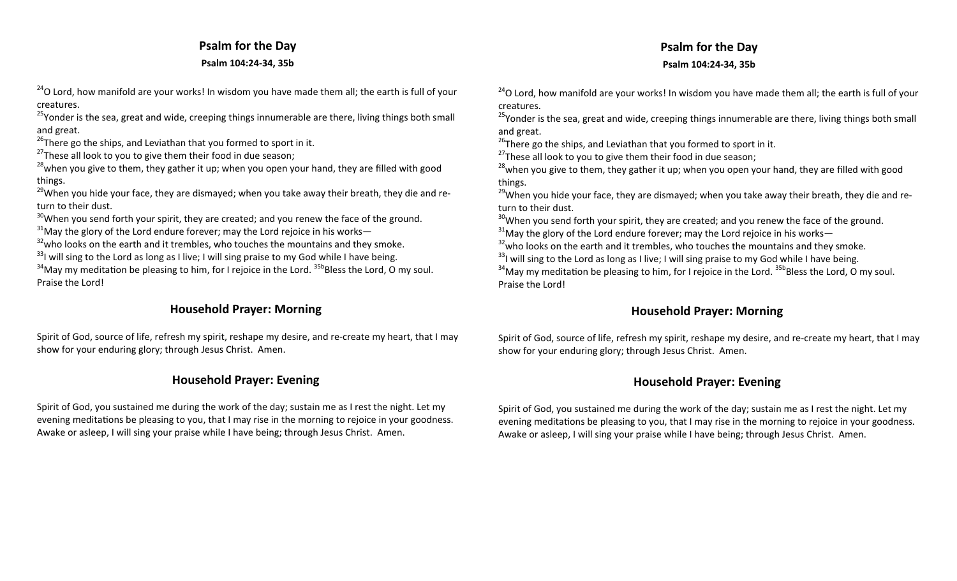### **Psalm for the Day Psalm 104:24‐34, 35b**

 $24$ O Lord, how manifold are your works! In wisdom you have made them all; the earth is full of your creatures.

<sup>25</sup>Yonder is the sea, great and wide, creeping things innumerable are there, living things both small and great.

 $26$ There go the ships, and Leviathan that you formed to sport in it.

 $27$ These all look to you to give them their food in due season;

 $28$  when you give to them, they gather it up; when you open your hand, they are filled with good things.

 $29$ When you hide your face, they are dismayed; when you take away their breath, they die and return to their dust.

 $30$ When you send forth your spirit, they are created; and you renew the face of the ground.

 $31$ May the glory of the Lord endure forever; may the Lord rejoice in his works—

 $32$  who looks on the earth and it trembles, who touches the mountains and they smoke.

 $33$ I will sing to the Lord as long as I live; I will sing praise to my God while I have being.

 $34$ May my meditation be pleasing to him, for I rejoice in the Lord,  $35b$ Bless the Lord, O my soul. Praise the Lord!

### **Household Prayer: Morning**

Spirit of God, source of life, refresh my spirit, reshape my desire, and re-create my heart, that I may show for your enduring glory; through Jesus Christ. Amen.

### **Household Prayer: Evening**

Spirit of God, you sustained me during the work of the day; sustain me as I rest the night. Let my evening meditations be pleasing to you, that I may rise in the morning to rejoice in your goodness. Awake or asleep, I will sing your praise while I have being; through Jesus Christ. Amen.

 $24$ O Lord, how manifold are your works! In wisdom you have made them all; the earth is full of your creatures.

<sup>25</sup>Yonder is the sea, great and wide, creeping things innumerable are there, living things both small and great.

 $26$ There go the ships, and Leviathan that you formed to sport in it.

 $27$ These all look to you to give them their food in due season;

 $28$  when you give to them, they gather it up; when you open your hand, they are filled with good things.

 $29$ When you hide your face, they are dismayed; when you take away their breath, they die and return to their dust.

 $30$ When you send forth your spirit, they are created; and you renew the face of the ground.

 $31$ May the glory of the Lord endure forever; may the Lord rejoice in his works—

 $32$  who looks on the earth and it trembles, who touches the mountains and they smoke.

 $33$ I will sing to the Lord as long as I live; I will sing praise to my God while I have being.

 $34$ May my meditation be pleasing to him, for I rejoice in the Lord.  $35b$ Bless the Lord, O my soul. Praise the Lord!

### **Household Prayer: Morning**

Spirit of God, source of life, refresh my spirit, reshape my desire, and re-create my heart, that I may show for your enduring glory; through Jesus Christ. Amen.

### **Household Prayer: Evening**

Spirit of God, you sustained me during the work of the day; sustain me as I rest the night. Let my evening meditations be pleasing to you, that I may rise in the morning to rejoice in your goodness. Awake or asleep, I will sing your praise while I have being; through Jesus Christ. Amen.